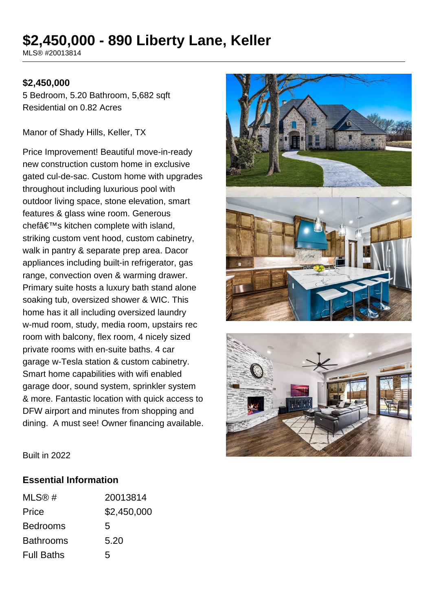# **\$2,450,000 - 890 Liberty Lane, Keller**

MLS® #20013814

#### **\$2,450,000**

5 Bedroom, 5.20 Bathroom, 5,682 sqft Residential on 0.82 Acres

Manor of Shady Hills, Keller, TX

Price Improvement! Beautiful move-in-ready new construction custom home in exclusive gated cul-de-sac. Custom home with upgrades throughout including luxurious pool with outdoor living space, stone elevation, smart features & glass wine room. Generous chef $a \in \mathbb{N}$ s kitchen complete with island, striking custom vent hood, custom cabinetry, walk in pantry & separate prep area. Dacor appliances including built-in refrigerator, gas range, convection oven & warming drawer. Primary suite hosts a luxury bath stand alone soaking tub, oversized shower & WIC. This home has it all including oversized laundry w-mud room, study, media room, upstairs rec room with balcony, flex room, 4 nicely sized private rooms with en-suite baths. 4 car garage w-Tesla station & custom cabinetry. Smart home capabilities with wifi enabled garage door, sound system, sprinkler system & more. Fantastic location with quick access to DFW airport and minutes from shopping and dining. A must see! Owner financing available.





Built in 2022

#### **Essential Information**

| MLS@#             | 20013814    |
|-------------------|-------------|
| Price             | \$2,450,000 |
| <b>Bedrooms</b>   | 5           |
| <b>Bathrooms</b>  | 5.20        |
| <b>Full Baths</b> | 5           |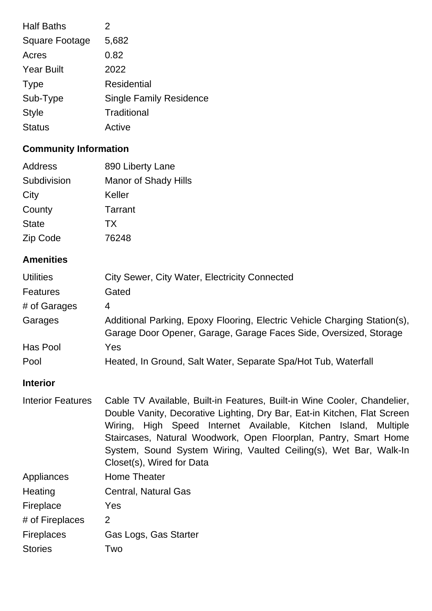| <b>Half Baths</b>     | 2                              |
|-----------------------|--------------------------------|
| <b>Square Footage</b> | 5,682                          |
| Acres                 | 0.82                           |
| <b>Year Built</b>     | 2022                           |
| <b>Type</b>           | Residential                    |
| Sub-Type              | <b>Single Family Residence</b> |
| <b>Style</b>          | Traditional                    |
| <b>Status</b>         | Active                         |
|                       |                                |

## **Community Information**

| Address      | 890 Liberty Lane            |
|--------------|-----------------------------|
| Subdivision  | <b>Manor of Shady Hills</b> |
| City         | Keller                      |
| County       | Tarrant                     |
| <b>State</b> | <b>TX</b>                   |
| Zip Code     | 76248                       |

#### **Amenities**

| <b>Utilities</b> | City Sewer, City Water, Electricity Connected                                                                                                  |
|------------------|------------------------------------------------------------------------------------------------------------------------------------------------|
| <b>Features</b>  | Gated                                                                                                                                          |
| # of Garages     | 4                                                                                                                                              |
| Garages          | Additional Parking, Epoxy Flooring, Electric Vehicle Charging Station(s),<br>Garage Door Opener, Garage, Garage Faces Side, Oversized, Storage |
| Has Pool         | Yes                                                                                                                                            |
| Pool             | Heated, In Ground, Salt Water, Separate Spa/Hot Tub, Waterfall                                                                                 |

#### **Interior**

Interior Features Cable TV Available, Built-in Features, Built-in Wine Cooler, Chandelier, Double Vanity, Decorative Lighting, Dry Bar, Eat-in Kitchen, Flat Screen Wiring, High Speed Internet Available, Kitchen Island, Multiple Staircases, Natural Woodwork, Open Floorplan, Pantry, Smart Home System, Sound System Wiring, Vaulted Ceiling(s), Wet Bar, Walk-In Closet(s), Wired for Data Appliances Home Theater Heating Central, Natural Gas Fireplace Yes # of Fireplaces 2 Fireplaces Gas Logs, Gas Starter Stories Two